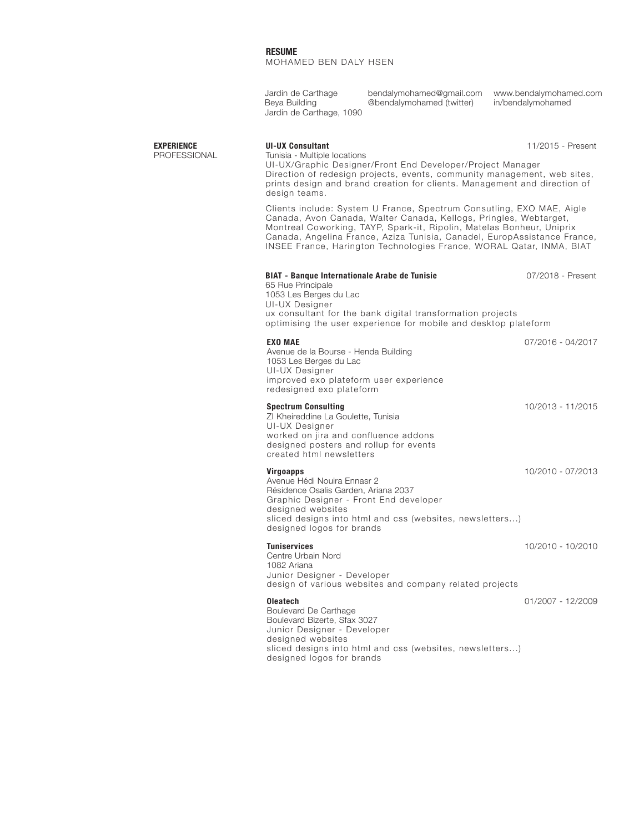Jardin de Carthage Beya Building Jardin de Carthage, 1090 bendalymohamed@gmail.com www.bendalymohamed.com in/bendalymohamed @bendalymohamed (twitter)

PROFESSIONAL

## **EXPERIENCE UI-UX Consultant**

Tunisia - Multiple locations UI-UX/Graphic Designer/Front End Developer/Project Manager 11/2015 - Present Direction of redesign projects, events, community management, web sites, prints design and brand creation for clients. Management and direction of design teams.

Clients include: System U France, Spectrum Consutling, EXO MAE, Aigle Canada, Avon Canada, Walter Canada, Kellogs, Pringles, Webtarget, Montreal Coworking, TAYP, Spark-it, Ripolin, Matelas Bonheur, Uniprix Canada, Angelina France, Aziza Tunisia, Canadel, EuropAssistance France, INSEE France, Harington Technologies France, WORAL Qatar, INMA, BIAT

## **EXO MAE** Avenue de la Bourse - Henda Building 1053 Les Berges du Lac UI-UX Designer 07/2016 - 04/2017 improved exo plateform user experience redesigned exo plateform **Tuniservices** Centre Urbain Nord 1082 Ariana Junior Designer - Developer 10/2010 - 10/2010 design of various websites and company related projects **Virgoapps** Avenue Hédi Nouira Ennasr 2 Résidence Osalis Garden, Ariana 2037 Graphic Designer - Front End developer 10/2010 - 07/2013 designed websites sliced designs into html and css (websites, newsletters...) designed logos for brands **Spectrum Consulting** ZI Kheireddine La Goulette, Tunisia UI-UX Designer 10/2013 - 11/2015 worked on jira and confluence addons designed posters and rollup for events created html newsletters **Oleatech** Boulevard De Carthage Boulevard Bizerte, Sfax 3027 Junior Designer - Developer 01/2007 - 12/2009 **BIAT - Banque Internationale Arabe de Tunisie** 65 Rue Principale 1053 Les Berges du Lac UI-UX Designer 07/2018 - Present ux consultant for the bank digital transformation projects optimising the user experience for mobile and desktop plateform

designed websites sliced designs into html and css (websites, newsletters...) designed logos for brands